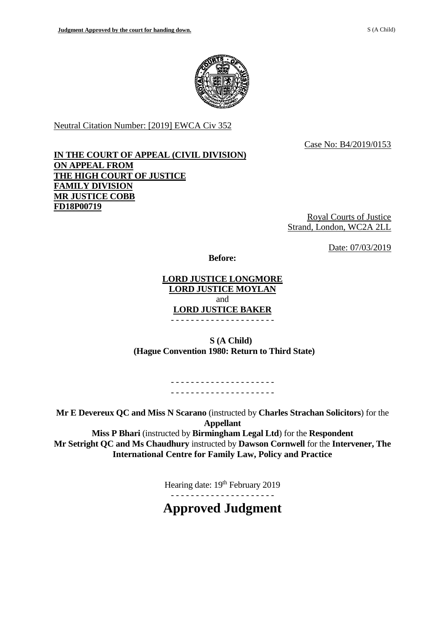

Neutral Citation Number: [2019] EWCA Civ 352

Case No: B4/2019/0153

## **IN THE COURT OF APPEAL (CIVIL DIVISION) ON APPEAL FROM THE HIGH COURT OF JUSTICE FAMILY DIVISION MR JUSTICE COBB FD18P00719**

Royal Courts of Justice Strand, London, WC2A 2LL

Date: 07/03/2019

**Before:**

## **LORD JUSTICE LONGMORE LORD JUSTICE MOYLAN** and **LORD JUSTICE BAKER** - - - - - - - - - - - - - - - - - - - - -

 **S (A Child) (Hague Convention 1980: Return to Third State)**

> - - - - - - - - - - - - - - - - - - - - - - - - - - - - - - - - - - - - - - - - - -

**Mr E Devereux QC and Miss N Scarano** (instructed by **Charles Strachan Solicitors**) for the **Appellant**

**Miss P Bhari** (instructed by **Birmingham Legal Ltd**) for the **Respondent Mr Setright QC and Ms Chaudhury** instructed by **Dawson Cornwell** for the **Intervener, The International Centre for Family Law, Policy and Practice**

Hearing date: 19<sup>th</sup> February 2019

- - - - - - - - - - - - - - - - - - - - -

**Approved Judgment**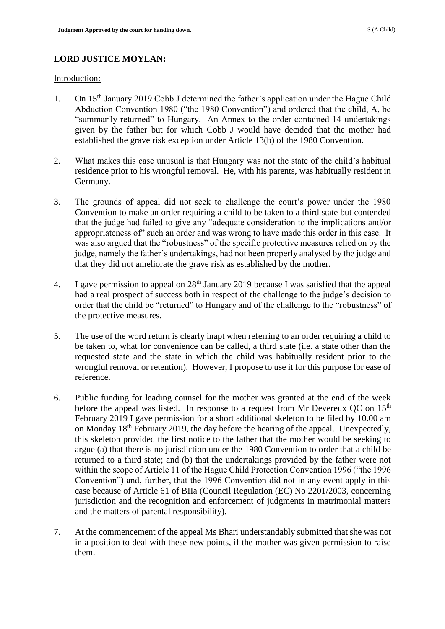# **LORD JUSTICE MOYLAN:**

Introduction:

- 1. On 15<sup>th</sup> January 2019 Cobb J determined the father's application under the Hague Child Abduction Convention 1980 ("the 1980 Convention") and ordered that the child, A, be "summarily returned" to Hungary. An Annex to the order contained 14 undertakings given by the father but for which Cobb J would have decided that the mother had established the grave risk exception under Article 13(b) of the 1980 Convention.
- 2. What makes this case unusual is that Hungary was not the state of the child's habitual residence prior to his wrongful removal. He, with his parents, was habitually resident in Germany.
- 3. The grounds of appeal did not seek to challenge the court's power under the 1980 Convention to make an order requiring a child to be taken to a third state but contended that the judge had failed to give any "adequate consideration to the implications and/or appropriateness of" such an order and was wrong to have made this order in this case. It was also argued that the "robustness" of the specific protective measures relied on by the judge, namely the father's undertakings, had not been properly analysed by the judge and that they did not ameliorate the grave risk as established by the mother.
- 4. I gave permission to appeal on  $28<sup>th</sup>$  January 2019 because I was satisfied that the appeal had a real prospect of success both in respect of the challenge to the judge's decision to order that the child be "returned" to Hungary and of the challenge to the "robustness" of the protective measures.
- 5. The use of the word return is clearly inapt when referring to an order requiring a child to be taken to, what for convenience can be called, a third state (i.e. a state other than the requested state and the state in which the child was habitually resident prior to the wrongful removal or retention). However, I propose to use it for this purpose for ease of reference.
- 6. Public funding for leading counsel for the mother was granted at the end of the week before the appeal was listed. In response to a request from Mr Devereux OC on  $15<sup>th</sup>$ February 2019 I gave permission for a short additional skeleton to be filed by 10.00 am on Monday 18<sup>th</sup> February 2019, the day before the hearing of the appeal. Unexpectedly, this skeleton provided the first notice to the father that the mother would be seeking to argue (a) that there is no jurisdiction under the 1980 Convention to order that a child be returned to a third state; and (b) that the undertakings provided by the father were not within the scope of Article 11 of the Hague Child Protection Convention 1996 ("the 1996 Convention") and, further, that the 1996 Convention did not in any event apply in this case because of Article 61 of BIIa (Council Regulation (EC) No 2201/2003, concerning jurisdiction and the recognition and enforcement of judgments in matrimonial matters and the matters of parental responsibility).
- 7. At the commencement of the appeal Ms Bhari understandably submitted that she was not in a position to deal with these new points, if the mother was given permission to raise them.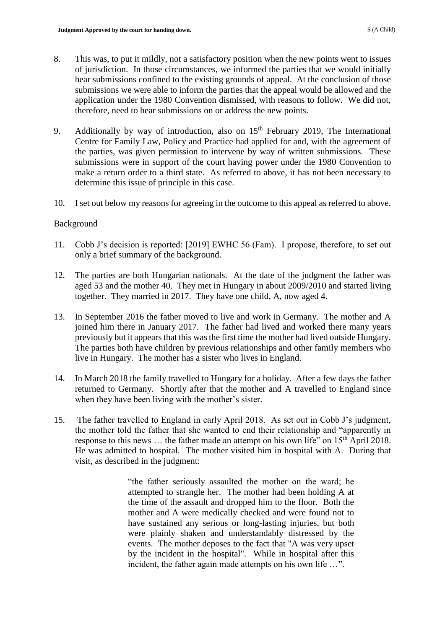- 8. This was, to put it mildly, not a satisfactory position when the new points went to issues of jurisdiction. In those circumstances, we informed the parties that we would initially hear submissions confined to the existing grounds of appeal. At the conclusion of those submissions we were able to inform the parties that the appeal would be allowed and the application under the 1980 Convention dismissed, with reasons to follow. We did not, therefore, need to hear submissions on or address the new points.
- 9. Additionally by way of introduction, also on  $15<sup>th</sup>$  February 2019, The International Centre for Family Law, Policy and Practice had applied for and, with the agreement of the parties, was given permission to intervene by way of written submissions. These submissions were in support of the court having power under the 1980 Convention to make a return order to a third state. As referred to above, it has not been necessary to determine this issue of principle in this case.
- 10. I set out below my reasons for agreeing in the outcome to this appeal as referred to above.

#### Background

- 11. Cobb J's decision is reported: [2019] EWHC 56 (Fam). I propose, therefore, to set out only a brief summary of the background.
- 12. The parties are both Hungarian nationals. At the date of the judgment the father was aged 53 and the mother 40. They met in Hungary in about 2009/2010 and started living together. They married in 2017. They have one child, A, now aged 4.
- 13. In September 2016 the father moved to live and work in Germany. The mother and A joined him there in January 2017. The father had lived and worked there many years previously but it appears that this was the first time the mother had lived outside Hungary. The parties both have children by previous relationships and other family members who live in Hungary. The mother has a sister who lives in England.
- 14. In March 2018 the family travelled to Hungary for a holiday. After a few days the father returned to Germany. Shortly after that the mother and A travelled to England since when they have been living with the mother's sister.
- 15. The father travelled to England in early April 2018. As set out in Cobb J's judgment, the mother told the father that she wanted to end their relationship and "apparently in response to this news ... the father made an attempt on his own life" on 15<sup>th</sup> April 2018. He was admitted to hospital. The mother visited him in hospital with A. During that visit, as described in the judgment:

"the father seriously assaulted the mother on the ward; he attempted to strangle her. The mother had been holding A at the time of the assault and dropped him to the floor. Both the mother and A were medically checked and were found not to have sustained any serious or long-lasting injuries, but both were plainly shaken and understandably distressed by the events. The mother deposes to the fact that "A was very upset by the incident in the hospital". While in hospital after this incident, the father again made attempts on his own life ...".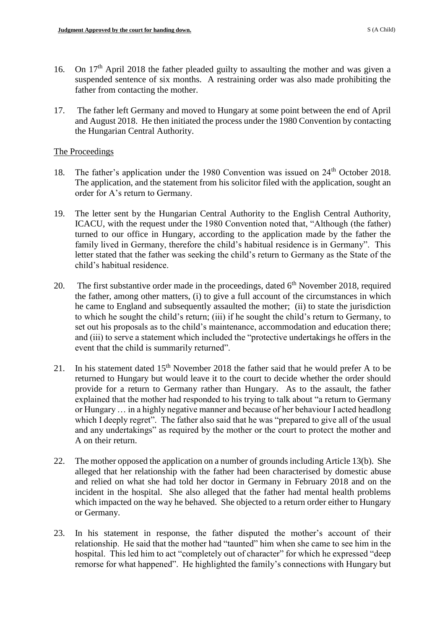- 16. On 17<sup>th</sup> April 2018 the father pleaded guilty to assaulting the mother and was given a suspended sentence of six months. A restraining order was also made prohibiting the father from contacting the mother.
- 17. The father left Germany and moved to Hungary at some point between the end of April and August 2018. He then initiated the process under the 1980 Convention by contacting the Hungarian Central Authority.

### The Proceedings

- 18. The father's application under the 1980 Convention was issued on 24<sup>th</sup> October 2018. The application, and the statement from his solicitor filed with the application, sought an order for A's return to Germany.
- 19. The letter sent by the Hungarian Central Authority to the English Central Authority, ICACU, with the request under the 1980 Convention noted that, "Although (the father) turned to our office in Hungary, according to the application made by the father the family lived in Germany, therefore the child's habitual residence is in Germany". This letter stated that the father was seeking the child's return to Germany as the State of the child's habitual residence.
- 20. The first substantive order made in the proceedings, dated  $6<sup>th</sup>$  November 2018, required the father, among other matters, (i) to give a full account of the circumstances in which he came to England and subsequently assaulted the mother; (ii) to state the jurisdiction to which he sought the child's return; (iii) if he sought the child's return to Germany, to set out his proposals as to the child's maintenance, accommodation and education there; and (iii) to serve a statement which included the "protective undertakings he offers in the event that the child is summarily returned".
- 21. In his statement dated  $15<sup>th</sup>$  November 2018 the father said that he would prefer A to be returned to Hungary but would leave it to the court to decide whether the order should provide for a return to Germany rather than Hungary. As to the assault, the father explained that the mother had responded to his trying to talk about "a return to Germany or Hungary … in a highly negative manner and because of her behaviour I acted headlong which I deeply regret". The father also said that he was "prepared to give all of the usual and any undertakings" as required by the mother or the court to protect the mother and A on their return.
- 22. The mother opposed the application on a number of grounds including Article 13(b). She alleged that her relationship with the father had been characterised by domestic abuse and relied on what she had told her doctor in Germany in February 2018 and on the incident in the hospital. She also alleged that the father had mental health problems which impacted on the way he behaved. She objected to a return order either to Hungary or Germany.
- 23. In his statement in response, the father disputed the mother's account of their relationship. He said that the mother had "taunted" him when she came to see him in the hospital. This led him to act "completely out of character" for which he expressed "deep remorse for what happened". He highlighted the family's connections with Hungary but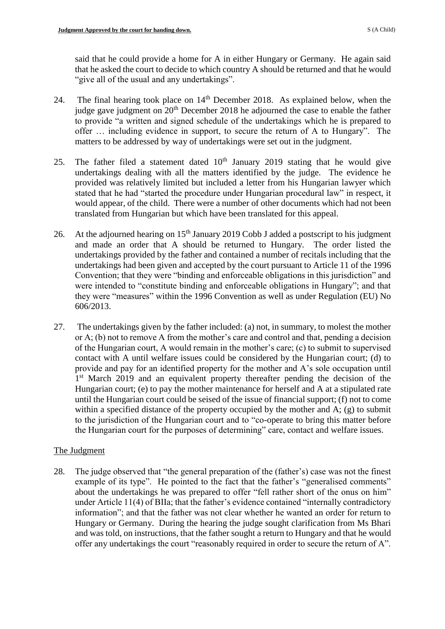said that he could provide a home for A in either Hungary or Germany. He again said that he asked the court to decide to which country A should be returned and that he would "give all of the usual and any undertakings".

- 24. The final hearing took place on 14<sup>th</sup> December 2018. As explained below, when the judge gave judgment on  $20<sup>th</sup>$  December 2018 he adjourned the case to enable the father to provide "a written and signed schedule of the undertakings which he is prepared to offer … including evidence in support, to secure the return of A to Hungary". The matters to be addressed by way of undertakings were set out in the judgment.
- 25. The father filed a statement dated  $10<sup>th</sup>$  January 2019 stating that he would give undertakings dealing with all the matters identified by the judge. The evidence he provided was relatively limited but included a letter from his Hungarian lawyer which stated that he had "started the procedure under Hungarian procedural law" in respect, it would appear, of the child. There were a number of other documents which had not been translated from Hungarian but which have been translated for this appeal.
- 26. At the adjourned hearing on  $15<sup>th</sup>$  January 2019 Cobb J added a postscript to his judgment and made an order that A should be returned to Hungary. The order listed the undertakings provided by the father and contained a number of recitals including that the undertakings had been given and accepted by the court pursuant to Article 11 of the 1996 Convention; that they were "binding and enforceable obligations in this jurisdiction" and were intended to "constitute binding and enforceable obligations in Hungary"; and that they were "measures" within the 1996 Convention as well as under Regulation (EU) No 606/2013.
- 27. The undertakings given by the father included: (a) not, in summary, to molest the mother or A; (b) not to remove A from the mother's care and control and that, pending a decision of the Hungarian court, A would remain in the mother's care; (c) to submit to supervised contact with A until welfare issues could be considered by the Hungarian court; (d) to provide and pay for an identified property for the mother and A's sole occupation until 1<sup>st</sup> March 2019 and an equivalent property thereafter pending the decision of the Hungarian court; (e) to pay the mother maintenance for herself and A at a stipulated rate until the Hungarian court could be seised of the issue of financial support; (f) not to come within a specified distance of the property occupied by the mother and A; (g) to submit to the jurisdiction of the Hungarian court and to "co-operate to bring this matter before the Hungarian court for the purposes of determining" care, contact and welfare issues.

## The Judgment

28. The judge observed that "the general preparation of the (father's) case was not the finest example of its type". He pointed to the fact that the father's "generalised comments" about the undertakings he was prepared to offer "fell rather short of the onus on him" under Article 11(4) of BIIa; that the father's evidence contained "internally contradictory information"; and that the father was not clear whether he wanted an order for return to Hungary or Germany. During the hearing the judge sought clarification from Ms Bhari and was told, on instructions, that the father sought a return to Hungary and that he would offer any undertakings the court "reasonably required in order to secure the return of A".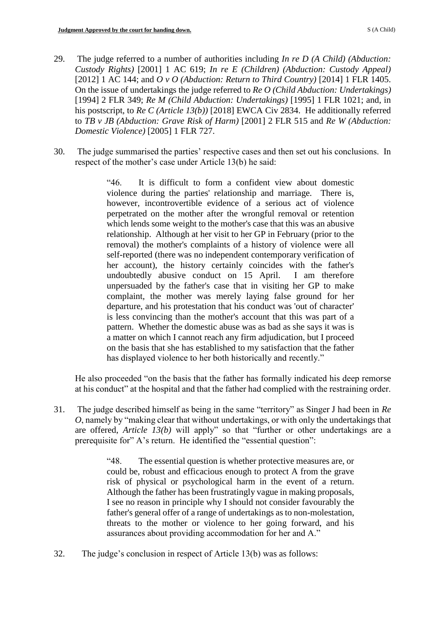- 29. The judge referred to a number of authorities including *In re D (A Child) (Abduction: Custody Rights)* [2001] 1 AC 619; *In re E (Children) (Abduction: Custody Appeal)* [2012] 1 AC 144; and *O v O (Abduction: Return to Third Country)* [2014] 1 FLR 1405. On the issue of undertakings the judge referred to *Re O (Child Abduction: Undertakings)* [1994] 2 FLR 349; *Re M (Child Abduction: Undertakings)* [1995] 1 FLR 1021; and, in his postscript, to *Re C (Article 13(b))* [2018] EWCA Civ 2834. He additionally referred to *TB v JB (Abduction: Grave Risk of Harm)* [2001] 2 FLR 515 and *Re W (Abduction: Domestic Violence)* [2005] 1 FLR 727.
- 30. The judge summarised the parties' respective cases and then set out his conclusions. In respect of the mother's case under Article 13(b) he said:

"46. It is difficult to form a confident view about domestic violence during the parties' relationship and marriage. There is, however, incontrovertible evidence of a serious act of violence perpetrated on the mother after the wrongful removal or retention which lends some weight to the mother's case that this was an abusive relationship. Although at her visit to her GP in February (prior to the removal) the mother's complaints of a history of violence were all self-reported (there was no independent contemporary verification of her account), the history certainly coincides with the father's undoubtedly abusive conduct on 15 April. I am therefore unpersuaded by the father's case that in visiting her GP to make complaint, the mother was merely laying false ground for her departure, and his protestation that his conduct was 'out of character' is less convincing than the mother's account that this was part of a pattern. Whether the domestic abuse was as bad as she says it was is a matter on which I cannot reach any firm adjudication, but I proceed on the basis that she has established to my satisfaction that the father has displayed violence to her both historically and recently."

He also proceeded "on the basis that the father has formally indicated his deep remorse at his conduct" at the hospital and that the father had complied with the restraining order.

31. The judge described himself as being in the same "territory" as Singer J had been in *Re O*, namely by "making clear that without undertakings, or with only the undertakings that are offered, *Article 13(b)* will apply" so that "further or other undertakings are a prerequisite for" A's return. He identified the "essential question":

> "48. The essential question is whether protective measures are, or could be, robust and efficacious enough to protect A from the grave risk of physical or psychological harm in the event of a return. Although the father has been frustratingly vague in making proposals, I see no reason in principle why I should not consider favourably the father's general offer of a range of undertakings as to non-molestation, threats to the mother or violence to her going forward, and his assurances about providing accommodation for her and A."

32. The judge's conclusion in respect of Article 13(b) was as follows: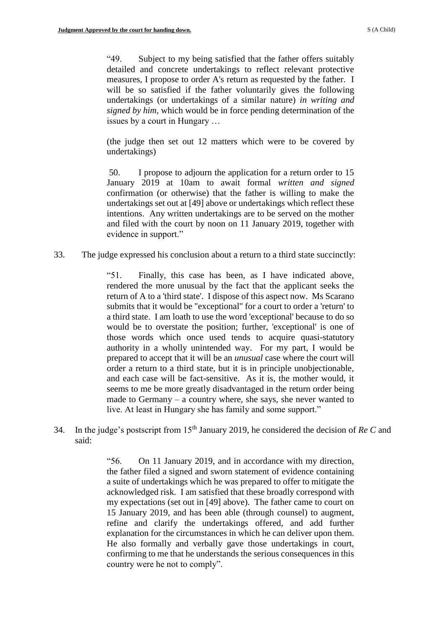"49. Subject to my being satisfied that the father offers suitably detailed and concrete undertakings to reflect relevant protective measures, I propose to order A's return as requested by the father. I will be so satisfied if the father voluntarily gives the following undertakings (or undertakings of a similar nature) *in writing and signed by him*, which would be in force pending determination of the issues by a court in Hungary …

(the judge then set out 12 matters which were to be covered by undertakings)

50. I propose to adjourn the application for a return order to 15 January 2019 at 10am to await formal *written and signed* confirmation (or otherwise) that the father is willing to make the undertakings set out at [49] above or undertakings which reflect these intentions. Any written undertakings are to be served on the mother and filed with the court by noon on 11 January 2019, together with evidence in support."

33. The judge expressed his conclusion about a return to a third state succinctly:

"51. Finally, this case has been, as I have indicated above, rendered the more unusual by the fact that the applicant seeks the return of A to a 'third state'. I dispose of this aspect now. Ms Scarano submits that it would be "exceptional" for a court to order a 'return' to a third state. I am loath to use the word 'exceptional' because to do so would be to overstate the position; further, 'exceptional' is one of those words which once used tends to acquire quasi-statutory authority in a wholly unintended way. For my part, I would be prepared to accept that it will be an *unusual* case where the court will order a return to a third state, but it is in principle unobjectionable, and each case will be fact-sensitive. As it is, the mother would, it seems to me be more greatly disadvantaged in the return order being made to Germany – a country where, she says, she never wanted to live. At least in Hungary she has family and some support."

34. In the judge's postscript from 15th January 2019, he considered the decision of *Re C* and said:

> "56. On 11 January 2019, and in accordance with my direction, the father filed a signed and sworn statement of evidence containing a suite of undertakings which he was prepared to offer to mitigate the acknowledged risk. I am satisfied that these broadly correspond with my expectations (set out in [49] above). The father came to court on 15 January 2019, and has been able (through counsel) to augment, refine and clarify the undertakings offered, and add further explanation for the circumstances in which he can deliver upon them. He also formally and verbally gave those undertakings in court, confirming to me that he understands the serious consequences in this country were he not to comply".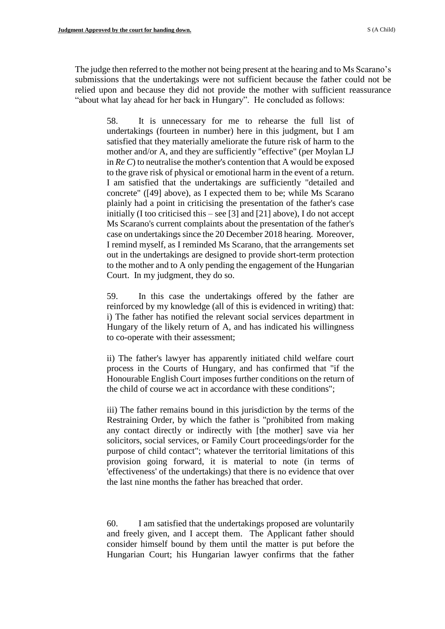The judge then referred to the mother not being present at the hearing and to Ms Scarano's submissions that the undertakings were not sufficient because the father could not be relied upon and because they did not provide the mother with sufficient reassurance "about what lay ahead for her back in Hungary". He concluded as follows:

58. It is unnecessary for me to rehearse the full list of undertakings (fourteen in number) here in this judgment, but I am satisfied that they materially ameliorate the future risk of harm to the mother and/or A, and they are sufficiently "effective" (per Moylan LJ in *Re C*) to neutralise the mother's contention that A would be exposed to the grave risk of physical or emotional harm in the event of a return. I am satisfied that the undertakings are sufficiently "detailed and concrete" ([49] above), as I expected them to be; while Ms Scarano plainly had a point in criticising the presentation of the father's case initially (I too criticised this – see [3] and [21] above), I do not accept Ms Scarano's current complaints about the presentation of the father's case on undertakings since the 20 December 2018 hearing. Moreover, I remind myself, as I reminded Ms Scarano, that the arrangements set out in the undertakings are designed to provide short-term protection to the mother and to A only pending the engagement of the Hungarian Court. In my judgment, they do so.

59. In this case the undertakings offered by the father are reinforced by my knowledge (all of this is evidenced in writing) that: i) The father has notified the relevant social services department in Hungary of the likely return of A, and has indicated his willingness to co-operate with their assessment;

ii) The father's lawyer has apparently initiated child welfare court process in the Courts of Hungary, and has confirmed that "if the Honourable English Court imposes further conditions on the return of the child of course we act in accordance with these conditions";

iii) The father remains bound in this jurisdiction by the terms of the Restraining Order, by which the father is "prohibited from making any contact directly or indirectly with [the mother] save via her solicitors, social services, or Family Court proceedings/order for the purpose of child contact"; whatever the territorial limitations of this provision going forward, it is material to note (in terms of 'effectiveness' of the undertakings) that there is no evidence that over the last nine months the father has breached that order.

60. I am satisfied that the undertakings proposed are voluntarily and freely given, and I accept them. The Applicant father should consider himself bound by them until the matter is put before the Hungarian Court; his Hungarian lawyer confirms that the father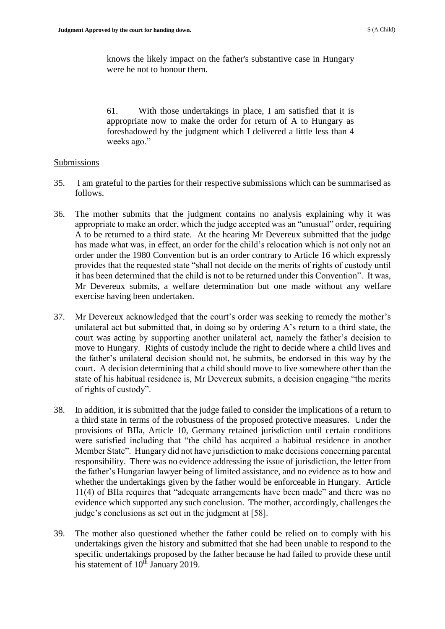knows the likely impact on the father's substantive case in Hungary were he not to honour them.

61. With those undertakings in place, I am satisfied that it is appropriate now to make the order for return of A to Hungary as foreshadowed by the judgment which I delivered a little less than 4 weeks ago."

#### Submissions

- 35. I am grateful to the parties for their respective submissions which can be summarised as follows.
- 36. The mother submits that the judgment contains no analysis explaining why it was appropriate to make an order, which the judge accepted was an "unusual" order, requiring A to be returned to a third state. At the hearing Mr Devereux submitted that the judge has made what was, in effect, an order for the child's relocation which is not only not an order under the 1980 Convention but is an order contrary to Article 16 which expressly provides that the requested state "shall not decide on the merits of rights of custody until it has been determined that the child is not to be returned under this Convention". It was, Mr Devereux submits, a welfare determination but one made without any welfare exercise having been undertaken.
- 37. Mr Devereux acknowledged that the court's order was seeking to remedy the mother's unilateral act but submitted that, in doing so by ordering A's return to a third state, the court was acting by supporting another unilateral act, namely the father's decision to move to Hungary. Rights of custody include the right to decide where a child lives and the father's unilateral decision should not, he submits, be endorsed in this way by the court. A decision determining that a child should move to live somewhere other than the state of his habitual residence is, Mr Devereux submits, a decision engaging "the merits of rights of custody".
- 38. In addition, it is submitted that the judge failed to consider the implications of a return to a third state in terms of the robustness of the proposed protective measures. Under the provisions of BIIa, Article 10, Germany retained jurisdiction until certain conditions were satisfied including that "the child has acquired a habitual residence in another Member State". Hungary did not have jurisdiction to make decisions concerning parental responsibility. There was no evidence addressing the issue of jurisdiction, the letter from the father's Hungarian lawyer being of limited assistance, and no evidence as to how and whether the undertakings given by the father would be enforceable in Hungary. Article 11(4) of BIIa requires that "adequate arrangements have been made" and there was no evidence which supported any such conclusion. The mother, accordingly, challenges the judge's conclusions as set out in the judgment at [58].
- 39. The mother also questioned whether the father could be relied on to comply with his undertakings given the history and submitted that she had been unable to respond to the specific undertakings proposed by the father because he had failed to provide these until his statement of 10<sup>th</sup> January 2019.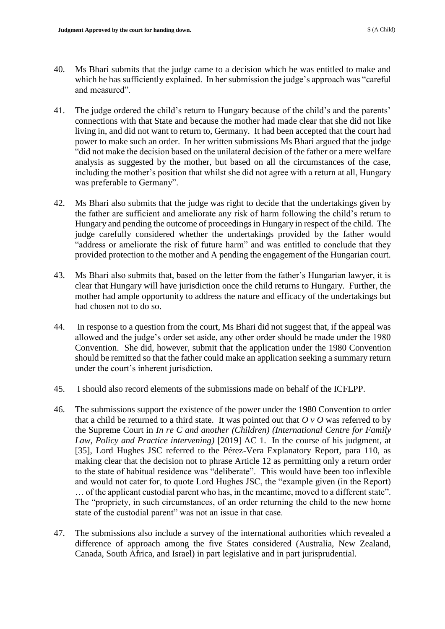- 40. Ms Bhari submits that the judge came to a decision which he was entitled to make and which he has sufficiently explained. In her submission the judge's approach was "careful and measured".
- 41. The judge ordered the child's return to Hungary because of the child's and the parents' connections with that State and because the mother had made clear that she did not like living in, and did not want to return to, Germany. It had been accepted that the court had power to make such an order. In her written submissions Ms Bhari argued that the judge "did not make the decision based on the unilateral decision of the father or a mere welfare analysis as suggested by the mother, but based on all the circumstances of the case, including the mother's position that whilst she did not agree with a return at all, Hungary was preferable to Germany".
- 42. Ms Bhari also submits that the judge was right to decide that the undertakings given by the father are sufficient and ameliorate any risk of harm following the child's return to Hungary and pending the outcome of proceedings in Hungary in respect of the child. The judge carefully considered whether the undertakings provided by the father would "address or ameliorate the risk of future harm" and was entitled to conclude that they provided protection to the mother and A pending the engagement of the Hungarian court.
- 43. Ms Bhari also submits that, based on the letter from the father's Hungarian lawyer, it is clear that Hungary will have jurisdiction once the child returns to Hungary. Further, the mother had ample opportunity to address the nature and efficacy of the undertakings but had chosen not to do so.
- 44. In response to a question from the court, Ms Bhari did not suggest that, if the appeal was allowed and the judge's order set aside, any other order should be made under the 1980 Convention. She did, however, submit that the application under the 1980 Convention should be remitted so that the father could make an application seeking a summary return under the court's inherent jurisdiction.
- 45. I should also record elements of the submissions made on behalf of the ICFLPP.
- 46. The submissions support the existence of the power under the 1980 Convention to order that a child be returned to a third state. It was pointed out that *O v O* was referred to by the Supreme Court in *In re C and another (Children) (International Centre for Family Law, Policy and Practice intervening)* [2019] AC 1. In the course of his judgment, at [35], Lord Hughes JSC referred to the Pérez-Vera Explanatory Report, para 110, as making clear that the decision not to phrase Article 12 as permitting only a return order to the state of habitual residence was "deliberate". This would have been too inflexible and would not cater for, to quote Lord Hughes JSC, the "example given (in the Report) … of the applicant custodial parent who has, in the meantime, moved to a different state". The "propriety, in such circumstances, of an order returning the child to the new home state of the custodial parent" was not an issue in that case.
- 47. The submissions also include a survey of the international authorities which revealed a difference of approach among the five States considered (Australia, New Zealand, Canada, South Africa, and Israel) in part legislative and in part jurisprudential.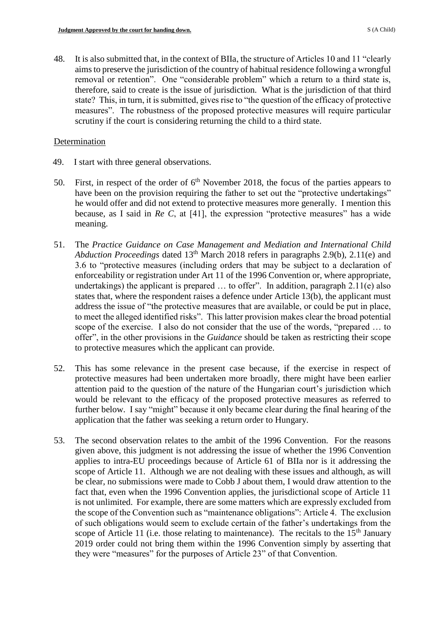48. It is also submitted that, in the context of BIIa, the structure of Articles 10 and 11 "clearly aims to preserve the jurisdiction of the country of habitual residence following a wrongful removal or retention". One "considerable problem" which a return to a third state is, therefore, said to create is the issue of jurisdiction. What is the jurisdiction of that third state? This, in turn, it is submitted, gives rise to "the question of the efficacy of protective measures". The robustness of the proposed protective measures will require particular scrutiny if the court is considering returning the child to a third state.

### **Determination**

- 49. I start with three general observations.
- 50. First, in respect of the order of  $6<sup>th</sup>$  November 2018, the focus of the parties appears to have been on the provision requiring the father to set out the "protective undertakings" he would offer and did not extend to protective measures more generally. I mention this because, as I said in *Re C*, at [41], the expression "protective measures" has a wide meaning.
- 51. The *Practice Guidance on Case Management and Mediation and International Child Abduction Proceedings* dated 13<sup>th</sup> March 2018 refers in paragraphs 2.9(b), 2.11(e) and 3.6 to "protective measures (including orders that may be subject to a declaration of enforceability or registration under Art 11 of the 1996 Convention or, where appropriate, undertakings) the applicant is prepared ... to offer". In addition, paragraph 2.11(e) also states that, where the respondent raises a defence under Article 13(b), the applicant must address the issue of "the protective measures that are available, or could be put in place, to meet the alleged identified risks". This latter provision makes clear the broad potential scope of the exercise. I also do not consider that the use of the words, "prepared … to offer", in the other provisions in the *Guidance* should be taken as restricting their scope to protective measures which the applicant can provide.
- 52. This has some relevance in the present case because, if the exercise in respect of protective measures had been undertaken more broadly, there might have been earlier attention paid to the question of the nature of the Hungarian court's jurisdiction which would be relevant to the efficacy of the proposed protective measures as referred to further below. I say "might" because it only became clear during the final hearing of the application that the father was seeking a return order to Hungary.
- 53. The second observation relates to the ambit of the 1996 Convention. For the reasons given above, this judgment is not addressing the issue of whether the 1996 Convention applies to intra-EU proceedings because of Article 61 of BIIa nor is it addressing the scope of Article 11. Although we are not dealing with these issues and although, as will be clear, no submissions were made to Cobb J about them, I would draw attention to the fact that, even when the 1996 Convention applies, the jurisdictional scope of Article 11 is not unlimited. For example, there are some matters which are expressly excluded from the scope of the Convention such as "maintenance obligations": Article 4. The exclusion of such obligations would seem to exclude certain of the father's undertakings from the scope of Article 11 (i.e. those relating to maintenance). The recitals to the  $15<sup>th</sup>$  January 2019 order could not bring them within the 1996 Convention simply by asserting that they were "measures" for the purposes of Article 23" of that Convention.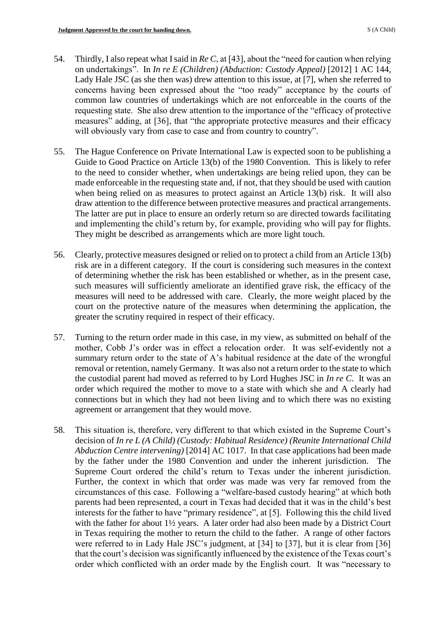- 54. Thirdly, I also repeat what I said in *Re C*, at [43], about the "need for caution when relying on undertakings". In *In re E (Children) (Abduction: Custody Appeal)* [2012] 1 AC 144, Lady Hale JSC (as she then was) drew attention to this issue, at [7], when she referred to concerns having been expressed about the "too ready" acceptance by the courts of common law countries of undertakings which are not enforceable in the courts of the requesting state. She also drew attention to the importance of the "efficacy of protective measures" adding, at [36], that "the appropriate protective measures and their efficacy will obviously vary from case to case and from country to country".
- 55. The Hague Conference on Private International Law is expected soon to be publishing a Guide to Good Practice on Article 13(b) of the 1980 Convention. This is likely to refer to the need to consider whether, when undertakings are being relied upon, they can be made enforceable in the requesting state and, if not, that they should be used with caution when being relied on as measures to protect against an Article 13(b) risk. It will also draw attention to the difference between protective measures and practical arrangements. The latter are put in place to ensure an orderly return so are directed towards facilitating and implementing the child's return by, for example, providing who will pay for flights. They might be described as arrangements which are more light touch.
- 56. Clearly, protective measures designed or relied on to protect a child from an Article 13(b) risk are in a different category. If the court is considering such measures in the context of determining whether the risk has been established or whether, as in the present case, such measures will sufficiently ameliorate an identified grave risk, the efficacy of the measures will need to be addressed with care. Clearly, the more weight placed by the court on the protective nature of the measures when determining the application, the greater the scrutiny required in respect of their efficacy.
- 57. Turning to the return order made in this case, in my view, as submitted on behalf of the mother, Cobb J's order was in effect a relocation order. It was self-evidently not a summary return order to the state of A's habitual residence at the date of the wrongful removal or retention, namely Germany. It was also not a return order to the state to which the custodial parent had moved as referred to by Lord Hughes JSC in *In re C*. It was an order which required the mother to move to a state with which she and A clearly had connections but in which they had not been living and to which there was no existing agreement or arrangement that they would move.
- 58. This situation is, therefore, very different to that which existed in the Supreme Court's decision of *In re L (A Child) (Custody: Habitual Residence) (Reunite International Child Abduction Centre intervening)* [2014] AC 1017. In that case applications had been made by the father under the 1980 Convention and under the inherent jurisdiction. The Supreme Court ordered the child's return to Texas under the inherent jurisdiction. Further, the context in which that order was made was very far removed from the circumstances of this case. Following a "welfare-based custody hearing" at which both parents had been represented, a court in Texas had decided that it was in the child's best interests for the father to have "primary residence", at [5]. Following this the child lived with the father for about 1½ years. A later order had also been made by a District Court in Texas requiring the mother to return the child to the father. A range of other factors were referred to in Lady Hale JSC's judgment, at [34] to [37], but it is clear from [36] that the court's decision was significantly influenced by the existence of the Texas court's order which conflicted with an order made by the English court. It was "necessary to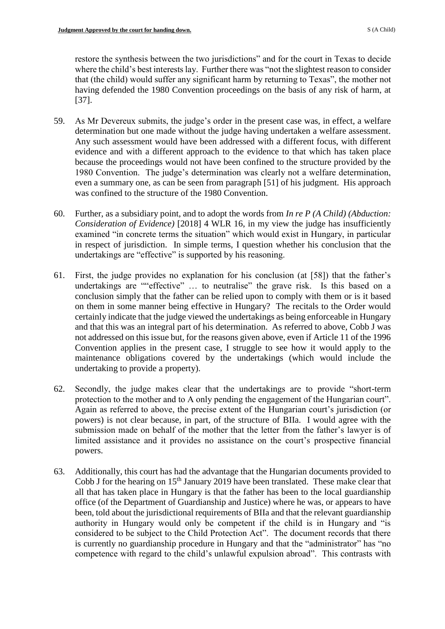restore the synthesis between the two jurisdictions" and for the court in Texas to decide where the child's best interests lay. Further there was "not the slightest reason to consider that (the child) would suffer any significant harm by returning to Texas", the mother not having defended the 1980 Convention proceedings on the basis of any risk of harm, at [37].

- 59. As Mr Devereux submits, the judge's order in the present case was, in effect, a welfare determination but one made without the judge having undertaken a welfare assessment. Any such assessment would have been addressed with a different focus, with different evidence and with a different approach to the evidence to that which has taken place because the proceedings would not have been confined to the structure provided by the 1980 Convention. The judge's determination was clearly not a welfare determination, even a summary one, as can be seen from paragraph [51] of his judgment. His approach was confined to the structure of the 1980 Convention.
- 60. Further, as a subsidiary point, and to adopt the words from *In re P (A Child) (Abduction: Consideration of Evidence)* [2018] 4 WLR 16, in my view the judge has insufficiently examined "in concrete terms the situation" which would exist in Hungary, in particular in respect of jurisdiction. In simple terms, I question whether his conclusion that the undertakings are "effective" is supported by his reasoning.
- 61. First, the judge provides no explanation for his conclusion (at [58]) that the father's undertakings are ""effective" … to neutralise" the grave risk. Is this based on a conclusion simply that the father can be relied upon to comply with them or is it based on them in some manner being effective in Hungary? The recitals to the Order would certainly indicate that the judge viewed the undertakings as being enforceable in Hungary and that this was an integral part of his determination. As referred to above, Cobb J was not addressed on this issue but, for the reasons given above, even if Article 11 of the 1996 Convention applies in the present case, I struggle to see how it would apply to the maintenance obligations covered by the undertakings (which would include the undertaking to provide a property).
- 62. Secondly, the judge makes clear that the undertakings are to provide "short-term protection to the mother and to A only pending the engagement of the Hungarian court". Again as referred to above, the precise extent of the Hungarian court's jurisdiction (or powers) is not clear because, in part, of the structure of BIIa. I would agree with the submission made on behalf of the mother that the letter from the father's lawyer is of limited assistance and it provides no assistance on the court's prospective financial powers.
- 63. Additionally, this court has had the advantage that the Hungarian documents provided to Cobb J for the hearing on  $15<sup>th</sup>$  January 2019 have been translated. These make clear that all that has taken place in Hungary is that the father has been to the local guardianship office (of the Department of Guardianship and Justice) where he was, or appears to have been, told about the jurisdictional requirements of BIIa and that the relevant guardianship authority in Hungary would only be competent if the child is in Hungary and "is considered to be subject to the Child Protection Act". The document records that there is currently no guardianship procedure in Hungary and that the "administrator" has "no competence with regard to the child's unlawful expulsion abroad". This contrasts with